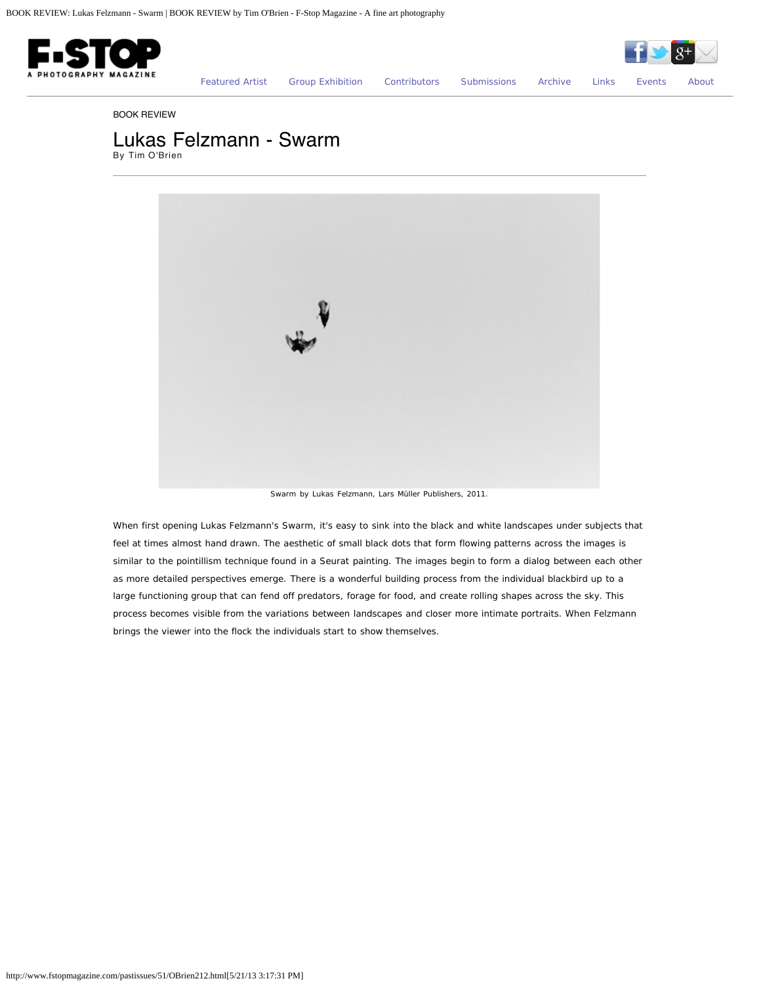



[Featured Artist](http://www.fstopmagazine.com/pastissues/51/featured.html) [Group Exhibition](http://www.fstopmagazine.com/pastissues/51/groupexhibition.html) [Contributors](http://www.fstopmagazine.com/pastissues/51/contributors.html) [Submissions](http://www.fstopmagazine.com/pastissues/51/submissions.html) [Archive](http://www.fstopmagazine.com/pastissues/51/archive.html) [Links](http://www.fstopmagazine.com/pastissues/51/links.html) [Events](http://www.fstopmagazine.com/blog/) [About](http://www.fstopmagazine.com/pastissues/51/about.html)

## BOOK REVIEW

## Lukas Felzmann - Swarm

By Tim O'Brien



Swarm by Lukas Felzmann, Lars Müller Publishers, 2011.

When first opening Lukas Felzmann's Swarm, it's easy to sink into the black and white landscapes under subjects that feel at times almost hand drawn. The aesthetic of small black dots that form flowing patterns across the images is similar to the pointillism technique found in a Seurat painting. The images begin to form a dialog between each other as more detailed perspectives emerge. There is a wonderful building process from the individual blackbird up to a large functioning group that can fend off predators, forage for food, and create rolling shapes across the sky. This process becomes visible from the variations between landscapes and closer more intimate portraits. When Felzmann brings the viewer into the flock the individuals start to show themselves.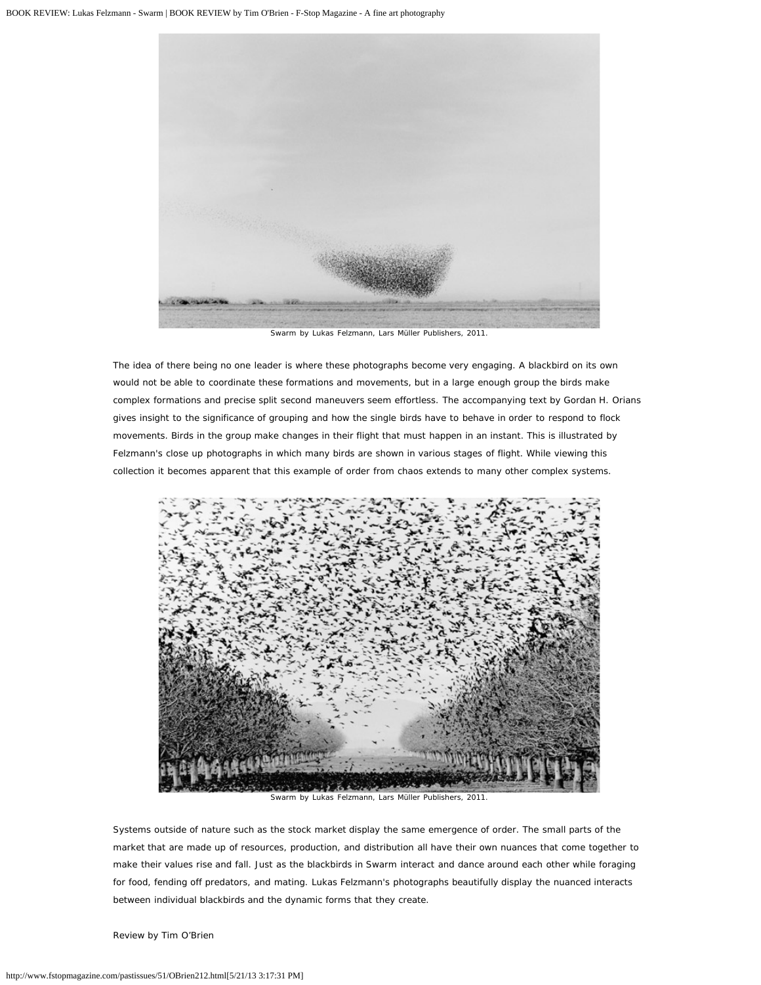

Swarm by Lukas Felzmann, Lars Müller Publishers, 2011.

The idea of there being no one leader is where these photographs become very engaging. A blackbird on its own would not be able to coordinate these formations and movements, but in a large enough group the birds make complex formations and precise split second maneuvers seem effortless. The accompanying text by Gordan H. Orians gives insight to the significance of grouping and how the single birds have to behave in order to respond to flock movements. Birds in the group make changes in their flight that must happen in an instant. This is illustrated by Felzmann's close up photographs in which many birds are shown in various stages of flight. While viewing this collection it becomes apparent that this example of order from chaos extends to many other complex systems.



Swarm by Lukas Felzmann, Lars Müller Publishers, 2011.

Systems outside of nature such as the stock market display the same emergence of order. The small parts of the market that are made up of resources, production, and distribution all have their own nuances that come together to make their values rise and fall. Just as the blackbirds in Swarm interact and dance around each other while foraging for food, fending off predators, and mating. Lukas Felzmann's photographs beautifully display the nuanced interacts between individual blackbirds and the dynamic forms that they create.

Review by Tim O'Brien